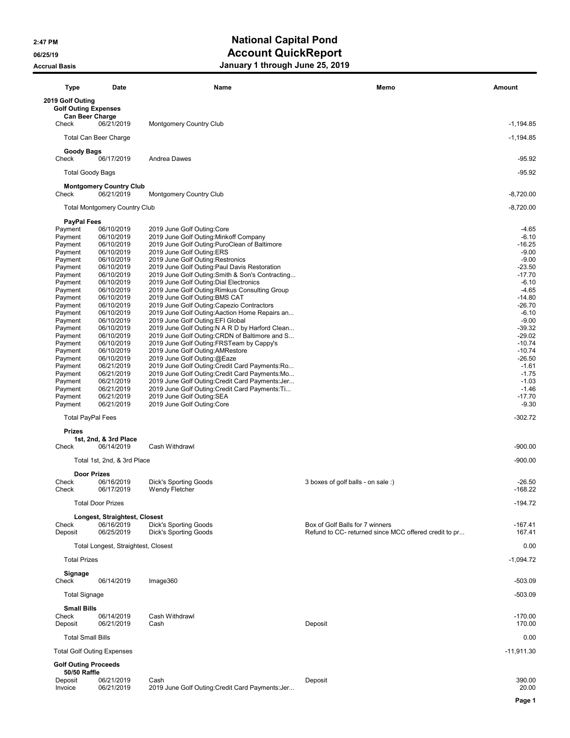### 2:47 PM 2:47 PM 06/25/19 **Account QuickReport** Accrual Basis **Accrual Basis January 1 through June 25, 2019**

| <b>Type</b>                                                               | Date                                         | Name                                                                                                | Memo                                                  | Amount                |
|---------------------------------------------------------------------------|----------------------------------------------|-----------------------------------------------------------------------------------------------------|-------------------------------------------------------|-----------------------|
| 2019 Golf Outing<br><b>Golf Outing Expenses</b><br><b>Can Beer Charge</b> |                                              |                                                                                                     |                                                       |                       |
| Check                                                                     | 06/21/2019                                   | <b>Montgomery Country Club</b>                                                                      |                                                       | $-1,194.85$           |
|                                                                           | <b>Total Can Beer Charge</b>                 |                                                                                                     |                                                       | $-1,194.85$           |
| Goody Bags<br>Check                                                       | 06/17/2019                                   | Andrea Dawes                                                                                        |                                                       | $-95.92$              |
| <b>Total Goody Bags</b>                                                   |                                              |                                                                                                     |                                                       | $-95.92$              |
| Check                                                                     | <b>Montgomery Country Club</b><br>06/21/2019 | Montgomery Country Club                                                                             |                                                       | $-8,720.00$           |
|                                                                           | <b>Total Montgomery Country Club</b>         |                                                                                                     |                                                       | $-8,720.00$           |
| <b>PayPal Fees</b>                                                        |                                              |                                                                                                     |                                                       |                       |
| Payment<br>Payment                                                        | 06/10/2019<br>06/10/2019                     | 2019 June Golf Outing: Core<br>2019 June Golf Outing: Minkoff Company                               |                                                       | $-4.65$<br>$-6.10$    |
| Payment                                                                   | 06/10/2019                                   | 2019 June Golf Outing: PuroClean of Baltimore                                                       |                                                       | $-16.25$              |
| Payment                                                                   | 06/10/2019                                   | 2019 June Golf Outing: ERS                                                                          |                                                       | $-9.00$               |
| Payment                                                                   | 06/10/2019                                   | 2019 June Golf Outing: Restronics                                                                   |                                                       | $-9.00$               |
| Payment                                                                   | 06/10/2019                                   | 2019 June Golf Outing: Paul Davis Restoration                                                       |                                                       | $-23.50$              |
| Payment                                                                   | 06/10/2019<br>06/10/2019                     | 2019 June Golf Outing: Smith & Son's Contracting                                                    |                                                       | $-17.70$<br>$-6.10$   |
| Payment<br>Payment                                                        | 06/10/2019                                   | 2019 June Golf Outing: Dial Electronics<br>2019 June Golf Outing: Rimkus Consulting Group           |                                                       | $-4.65$               |
| Payment                                                                   | 06/10/2019                                   | 2019 June Golf Outing: BMS CAT                                                                      |                                                       | $-14.80$              |
| Payment                                                                   | 06/10/2019                                   | 2019 June Golf Outing: Capezio Contractors                                                          |                                                       | $-26.70$              |
| Payment                                                                   | 06/10/2019                                   | 2019 June Golf Outing: Aaction Home Repairs an                                                      |                                                       | $-6.10$               |
| Payment                                                                   | 06/10/2019                                   | 2019 June Golf Outing: EFI Global                                                                   |                                                       | $-9.00$               |
| Payment<br>Payment                                                        | 06/10/2019<br>06/10/2019                     | 2019 June Golf Outing: N A R D by Harford Clean<br>2019 June Golf Outing: CRDN of Baltimore and S   |                                                       | $-39.32$<br>$-29.02$  |
| Payment                                                                   | 06/10/2019                                   | 2019 June Golf Outing: FRSTeam by Cappy's                                                           |                                                       | $-10.74$              |
| Payment                                                                   | 06/10/2019                                   | 2019 June Golf Outing: AMRestore                                                                    |                                                       | $-10.74$              |
| Payment                                                                   | 06/10/2019                                   | 2019 June Golf Outing:@Eaze                                                                         |                                                       | $-26.50$              |
| Payment                                                                   | 06/21/2019                                   | 2019 June Golf Outing: Credit Card Payments: Ro                                                     |                                                       | $-1.61$               |
| Payment                                                                   | 06/21/2019                                   | 2019 June Golf Outing: Credit Card Payments: Mo                                                     |                                                       | $-1.75$               |
| Payment<br>Payment                                                        | 06/21/2019<br>06/21/2019                     | 2019 June Golf Outing: Credit Card Payments: Jer<br>2019 June Golf Outing: Credit Card Payments: Ti |                                                       | $-1.03$<br>$-1.46$    |
| Payment                                                                   | 06/21/2019                                   | 2019 June Golf Outing: SEA                                                                          |                                                       | $-17.70$              |
| Payment                                                                   | 06/21/2019                                   | 2019 June Golf Outing: Core                                                                         |                                                       | $-9.30$               |
| <b>Total PayPal Fees</b>                                                  |                                              |                                                                                                     |                                                       | $-302.72$             |
| <b>Prizes</b>                                                             |                                              |                                                                                                     |                                                       |                       |
| Check                                                                     | 1st, 2nd, & 3rd Place<br>06/14/2019          | Cash Withdrawl                                                                                      |                                                       | $-900.00$             |
|                                                                           | Total 1st, 2nd, & 3rd Place                  |                                                                                                     |                                                       | $-900.00$             |
|                                                                           | <b>Door Prizes</b>                           |                                                                                                     |                                                       |                       |
| Check<br>Check                                                            | 06/16/2019<br>06/17/2019                     | <b>Dick's Sporting Goods</b><br>Wendy Fletcher                                                      | 3 boxes of golf balls - on sale :)                    | $-26.50$<br>$-168.22$ |
|                                                                           |                                              |                                                                                                     |                                                       |                       |
|                                                                           | <b>Total Door Prizes</b>                     |                                                                                                     |                                                       | $-194.72$             |
| Check                                                                     | Longest, Straightest, Closest<br>06/16/2019  | <b>Dick's Sporting Goods</b>                                                                        | Box of Golf Balls for 7 winners                       | -167.41               |
| Deposit                                                                   | 06/25/2019                                   | <b>Dick's Sporting Goods</b>                                                                        | Refund to CC- returned since MCC offered credit to pr | 167.41                |
|                                                                           | Total Longest, Straightest, Closest          |                                                                                                     |                                                       | 0.00                  |
| <b>Total Prizes</b>                                                       |                                              |                                                                                                     |                                                       | $-1,094.72$           |
| Signage<br>Check                                                          | 06/14/2019                                   | Image360                                                                                            |                                                       | $-503.09$             |
| <b>Total Signage</b>                                                      |                                              |                                                                                                     |                                                       | $-503.09$             |
| <b>Small Bills</b>                                                        |                                              |                                                                                                     |                                                       |                       |
| Check<br>Deposit                                                          | 06/14/2019<br>06/21/2019                     | Cash Withdrawl<br>Cash                                                                              | Deposit                                               | $-170.00$<br>170.00   |
| <b>Total Small Bills</b>                                                  |                                              |                                                                                                     |                                                       | 0.00                  |
|                                                                           | <b>Total Golf Outing Expenses</b>            |                                                                                                     |                                                       | $-11,911.30$          |
| <b>Golf Outing Proceeds</b><br>50/50 Raffle                               |                                              |                                                                                                     |                                                       |                       |
| Deposit<br>Invoice                                                        | 06/21/2019<br>06/21/2019                     | Cash<br>2019 June Golf Outing: Credit Card Payments: Jer                                            | Deposit                                               | 390.00<br>20.00       |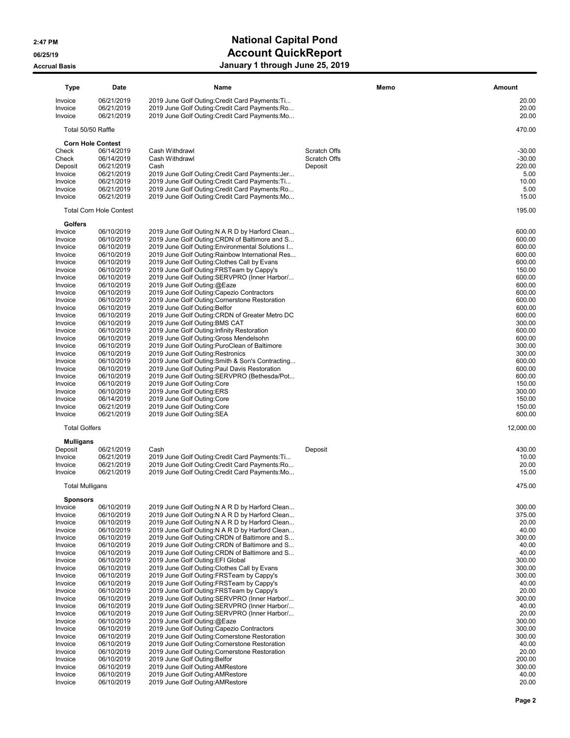# 2:47 PM 2:47 PM 06/25/19 **Account QuickReport**

## Accrual Basis **Accrual Basis January 1 through June 25, 2019**

| <b>Type</b>            | Date                           | Name                                                                                                 | Memo                | Amount           |
|------------------------|--------------------------------|------------------------------------------------------------------------------------------------------|---------------------|------------------|
| Invoice                | 06/21/2019                     | 2019 June Golf Outing: Credit Card Payments: Ti                                                      |                     | 20.00            |
| Invoice<br>Invoice     | 06/21/2019<br>06/21/2019       | 2019 June Golf Outing: Credit Card Payments: Ro<br>2019 June Golf Outing: Credit Card Payments: Mo   |                     | 20.00<br>20.00   |
| Total 50/50 Raffle     |                                |                                                                                                      |                     | 470.00           |
|                        | <b>Corn Hole Contest</b>       |                                                                                                      |                     |                  |
| Check                  | 06/14/2019                     | Cash Withdrawl                                                                                       | <b>Scratch Offs</b> | $-30.00$         |
| Check                  | 06/14/2019                     | Cash Withdrawl                                                                                       | Scratch Offs        | $-30.00$         |
| Deposit                | 06/21/2019                     | Cash                                                                                                 | Deposit             | 220.00           |
| Invoice                | 06/21/2019<br>06/21/2019       | 2019 June Golf Outing: Credit Card Payments: Jer                                                     |                     | 5.00<br>10.00    |
| Invoice<br>Invoice     | 06/21/2019                     | 2019 June Golf Outing: Credit Card Payments: Ti<br>2019 June Golf Outing: Credit Card Payments: Ro   |                     | 5.00             |
| Invoice                | 06/21/2019                     | 2019 June Golf Outing: Credit Card Payments: Mo                                                      |                     | 15.00            |
|                        | <b>Total Corn Hole Contest</b> |                                                                                                      |                     | 195.00           |
| Golfers                |                                |                                                                                                      |                     |                  |
| Invoice                | 06/10/2019                     | 2019 June Golf Outing: N A R D by Harford Clean                                                      |                     | 600.00           |
| Invoice                | 06/10/2019                     | 2019 June Golf Outing: CRDN of Baltimore and S                                                       |                     | 600.00           |
| Invoice<br>Invoice     | 06/10/2019<br>06/10/2019       | 2019 June Golf Outing: Environmental Solutions I<br>2019 June Golf Outing: Rainbow International Res |                     | 600.00<br>600.00 |
| Invoice                | 06/10/2019                     | 2019 June Golf Outing: Clothes Call by Evans                                                         |                     | 600.00           |
| Invoice                | 06/10/2019                     | 2019 June Golf Outing: FRSTeam by Cappy's                                                            |                     | 150.00           |
| Invoice                | 06/10/2019                     | 2019 June Golf Outing: SERVPRO (Inner Harbor/                                                        |                     | 600.00           |
| Invoice                | 06/10/2019                     | 2019 June Golf Outing:@Eaze                                                                          |                     | 600.00           |
| Invoice                | 06/10/2019                     | 2019 June Golf Outing: Capezio Contractors                                                           |                     | 600.00           |
| Invoice                | 06/10/2019                     | 2019 June Golf Outing: Cornerstone Restoration                                                       |                     | 600.00           |
| Invoice                | 06/10/2019                     | 2019 June Golf Outing: Belfor                                                                        |                     | 600.00           |
| Invoice                | 06/10/2019                     | 2019 June Golf Outing: CRDN of Greater Metro DC                                                      |                     | 600.00           |
| Invoice                | 06/10/2019                     | 2019 June Golf Outing: BMS CAT                                                                       |                     | 300.00           |
| Invoice<br>Invoice     | 06/10/2019<br>06/10/2019       | 2019 June Golf Outing: Infinity Restoration<br>2019 June Golf Outing: Gross Mendelsohn               |                     | 600.00<br>600.00 |
| Invoice                | 06/10/2019                     | 2019 June Golf Outing: PuroClean of Baltimore                                                        |                     | 300.00           |
| Invoice                | 06/10/2019                     | 2019 June Golf Outing: Restronics                                                                    |                     | 300.00           |
| Invoice                | 06/10/2019                     | 2019 June Golf Outing: Smith & Son's Contracting                                                     |                     | 600.00           |
| Invoice                | 06/10/2019                     | 2019 June Golf Outing: Paul Davis Restoration                                                        |                     | 600.00           |
| Invoice                | 06/10/2019                     | 2019 June Golf Outing:SERVPRO (Bethesda/Pot                                                          |                     | 600.00           |
| Invoice                | 06/10/2019                     | 2019 June Golf Outing: Core                                                                          |                     | 150.00           |
| Invoice                | 06/10/2019                     | 2019 June Golf Outing: ERS                                                                           |                     | 300.00           |
| Invoice                | 06/14/2019                     | 2019 June Golf Outing: Core                                                                          |                     | 150.00           |
| Invoice<br>Invoice     | 06/21/2019<br>06/21/2019       | 2019 June Golf Outing: Core<br>2019 June Golf Outing: SEA                                            |                     | 150.00<br>600.00 |
| <b>Total Golfers</b>   |                                |                                                                                                      |                     | 12,000.00        |
| <b>Mulligans</b>       |                                |                                                                                                      |                     |                  |
| Deposit                | 06/21/2019                     | Cash                                                                                                 | Deposit             | 430.00           |
| Invoice                | 06/21/2019                     | 2019 June Golf Outing: Credit Card Payments: Ti                                                      |                     | 10.00            |
| Invoice<br>Invoice     | 06/21/2019<br>06/21/2019       | 2019 June Golf Outing: Credit Card Payments: Ro<br>2019 June Golf Outing: Credit Card Payments: Mo   |                     | 20.00<br>15.00   |
| <b>Total Mulligans</b> |                                |                                                                                                      |                     | 475.00           |
| <b>Sponsors</b>        |                                |                                                                                                      |                     |                  |
| Invoice                | 06/10/2019                     | 2019 June Golf Outing: N A R D by Harford Clean                                                      |                     | 300.00           |
| Invoice                | 06/10/2019                     | 2019 June Golf Outing: N A R D by Harford Clean                                                      |                     | 375.00           |
| Invoice                | 06/10/2019                     | 2019 June Golf Outing: N A R D by Harford Clean                                                      |                     | 20.00            |
| Invoice                | 06/10/2019                     | 2019 June Golf Outing: N A R D by Harford Clean                                                      |                     | 40.00            |
| Invoice                | 06/10/2019                     | 2019 June Golf Outing: CRDN of Baltimore and S                                                       |                     | 300.00           |
| Invoice                | 06/10/2019                     | 2019 June Golf Outing: CRDN of Baltimore and S                                                       |                     | 40.00            |
| Invoice                | 06/10/2019                     | 2019 June Golf Outing: CRDN of Baltimore and S<br>2019 June Golf Outing: EFI Global                  |                     | 40.00<br>300.00  |
| Invoice<br>Invoice     | 06/10/2019<br>06/10/2019       | 2019 June Golf Outing: Clothes Call by Evans                                                         |                     | 300.00           |
| Invoice                | 06/10/2019                     | 2019 June Golf Outing: FRSTeam by Cappy's                                                            |                     | 300.00           |
| Invoice                | 06/10/2019                     | 2019 June Golf Outing: FRSTeam by Cappy's                                                            |                     | 40.00            |
| Invoice                | 06/10/2019                     | 2019 June Golf Outing: FRSTeam by Cappy's                                                            |                     | 20.00            |
| Invoice                | 06/10/2019                     | 2019 June Golf Outing: SERVPRO (Inner Harbor/                                                        |                     | 300.00           |
| Invoice                | 06/10/2019                     | 2019 June Golf Outing: SERVPRO (Inner Harbor/                                                        |                     | 40.00            |
| Invoice                | 06/10/2019                     | 2019 June Golf Outing: SERVPRO (Inner Harbor/                                                        |                     | 20.00            |
| Invoice                | 06/10/2019                     | 2019 June Golf Outing:@Eaze                                                                          |                     | 300.00<br>300.00 |
| Invoice<br>Invoice     | 06/10/2019<br>06/10/2019       | 2019 June Golf Outing: Capezio Contractors<br>2019 June Golf Outing: Cornerstone Restoration         |                     | 300.00           |
| Invoice                | 06/10/2019                     | 2019 June Golf Outing: Cornerstone Restoration                                                       |                     | 40.00            |
| Invoice                | 06/10/2019                     | 2019 June Golf Outing: Cornerstone Restoration                                                       |                     | 20.00            |
| Invoice                | 06/10/2019                     | 2019 June Golf Outing: Belfor                                                                        |                     | 200.00           |
| Invoice                | 06/10/2019                     | 2019 June Golf Outing: AMRestore                                                                     |                     | 300.00           |
| Invoice                | 06/10/2019                     | 2019 June Golf Outing: AMRestore                                                                     |                     | 40.00            |
| Invoice                | 06/10/2019                     | 2019 June Golf Outing: AMRestore                                                                     |                     | 20.00            |